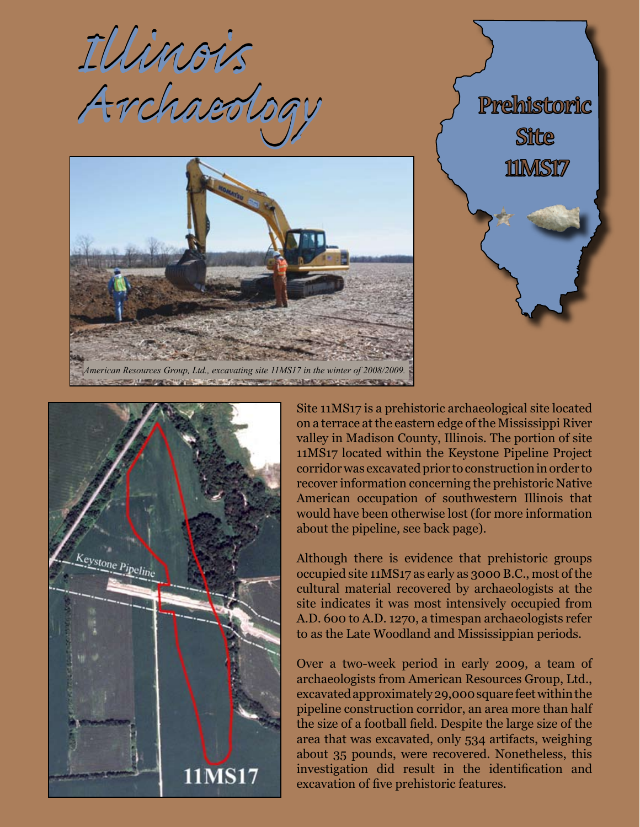







Site 11MS17 is a prehistoric archaeological site located on a terrace at the eastern edge of the Mississippi River valley in Madison County, Illinois. The portion of site 11MS17 located within the Keystone Pipeline Project corridor was excavated prior to construction in order to recover information concerning the prehistoric Native American occupation of southwestern Illinois that would have been otherwise lost (for more information about the pipeline, see back page).

Although there is evidence that prehistoric groups occupied site 11MS17 as early as 3000 B.C., most of the cultural material recovered by archaeologists at the site indicates it was most intensively occupied from A.D. 600 to A.D. 1270, a timespan archaeologists refer to as the Late Woodland and Mississippian periods.

Over a two-week period in early 2009, a team of archaeologists from American Resources Group, Ltd., excavated approximately 29,000 square feet within the pipeline construction corridor, an area more than half the size of a football field. Despite the large size of the area that was excavated, only 534 artifacts, weighing about 35 pounds, were recovered. Nonetheless, this investigation did result in the identification and excavation of five prehistoric features.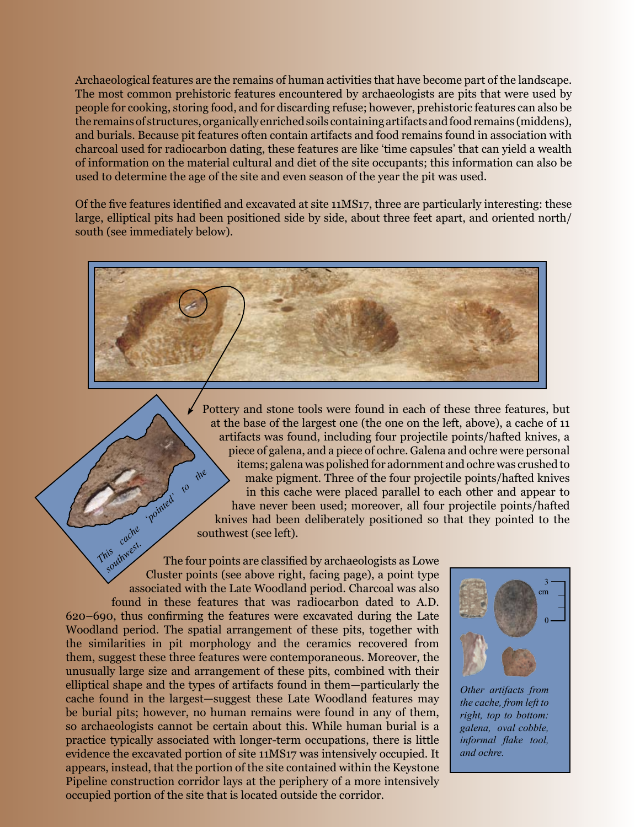Archaeological features are the remains of human activities that have become part of the landscape. The most common prehistoric features encountered by archaeologists are pits that were used by people for cooking, storing food, and for discarding refuse; however, prehistoric features can also be the remains of structures, organically enriched soils containing artifacts and food remains (middens), and burials. Because pit features often contain artifacts and food remains found in association with charcoal used for radiocarbon dating, these features are like 'time capsules' that can yield a wealth of information on the material cultural and diet of the site occupants; this information can also be used to determine the age of the site and even season of the year the pit was used.

Of the five features identified and excavated at site 11MS17, three are particularly interesting: these large, elliptical pits had been positioned side by side, about three feet apart, and oriented north/ south (see immediately below).



Pottery and stone tools were found in each of these three features, but at the base of the largest one (the one on the left, above), a cache of 11 artifacts was found, including four projectile points/hafted knives, a piece of galena, and a piece of ochre. Galena and ochre were personal items; galena was polished for adornment and ochre was crushed to make pigment. Three of the four projectile points/hafted knives in this cache were placed parallel to each other and appear to have never been used; moreover, all four projectile points/hafted knives had been deliberately positioned so that they pointed to the southwest (see left).

The four points are classified by archaeologists as Lowe Cluster points (see above right, facing page), a point type associated with the Late Woodland period. Charcoal was also found in these features that was radiocarbon dated to A.D. 620–690, thus confirming the features were excavated during the Late Woodland period. The spatial arrangement of these pits, together with the similarities in pit morphology and the ceramics recovered from them, suggest these three features were contemporaneous. Moreover, the unusually large size and arrangement of these pits, combined with their elliptical shape and the types of artifacts found in them—particularly the cache found in the largest—suggest these Late Woodland features may be burial pits; however, no human remains were found in any of them, so archaeologists cannot be certain about this. While human burial is a practice typically associated with longer-term occupations, there is little evidence the excavated portion of site 11MS17 was intensively occupied. It appears, instead, that the portion of the site contained within the Keystone Pipeline construction corridor lays at the periphery of a more intensively occupied portion of the site that is located outside the corridor. **Cache** *pointed'* to the **Fried west.** 



*Other artifacts from the cache, from left to right, top to bottom: galena, oval cobble, informal flake tool, and ochre.*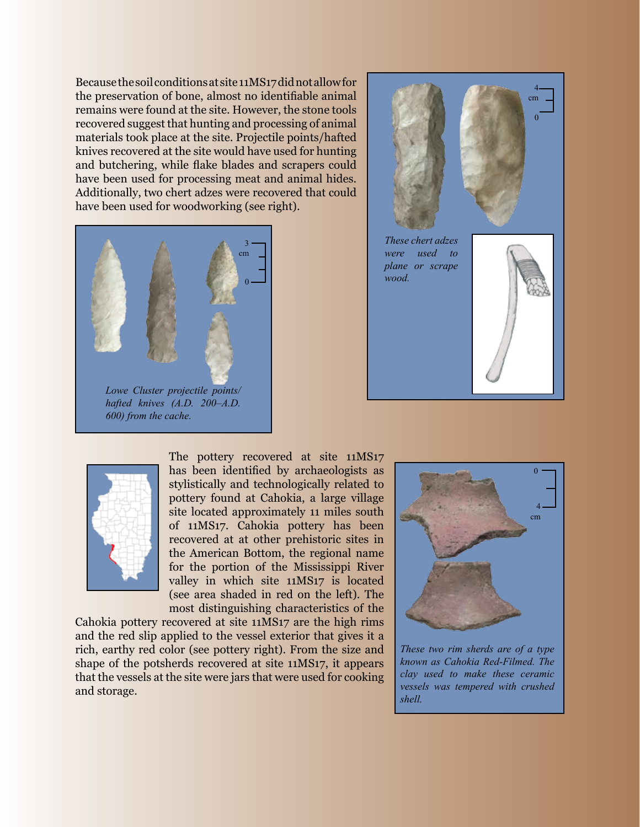Because the soil conditions at site 11MS17 did not allow for the preservation of bone, almost no identifiable animal remains were found at the site. However, the stone tools recovered suggest that hunting and processing of animal materials took place at the site. Projectile points/hafted knives recovered at the site would have used for hunting and butchering, while flake blades and scrapers could have been used for processing meat and animal hides. Additionally, two chert adzes were recovered that could have been used for woodworking (see right).







The pottery recovered at site 11MS17 has been identified by archaeologists as stylistically and technologically related to pottery found at Cahokia, a large village site located approximately 11 miles south of 11MS17. Cahokia pottery has been recovered at at other prehistoric sites in the American Bottom, the regional name for the portion of the Mississippi River valley in which site 11MS17 is located (see area shaded in red on the left). The most distinguishing characteristics of the

Cahokia pottery recovered at site 11MS17 are the high rims and the red slip applied to the vessel exterior that gives it a rich, earthy red color (see pottery right). From the size and shape of the potsherds recovered at site 11MS17, it appears that the vessels at the site were jars that were used for cooking and storage.



*These two rim sherds are of a type known as Cahokia Red-Filmed. The clay used to make these ceramic vessels was tempered with crushed shell.*